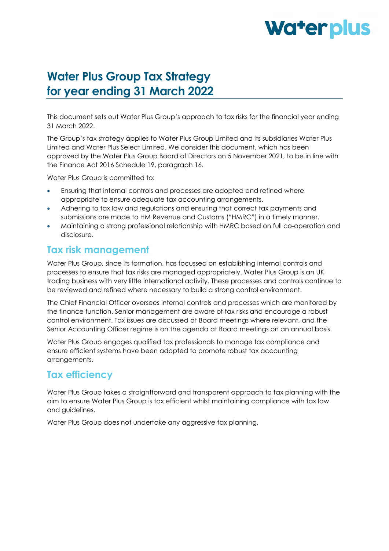# Water plus

# **Water Plus Group Tax Strategy for year ending 31 March 2022**

This document sets out Water Plus Group's approach to tax risks for the financial year ending 31 March 2022.

The Group's tax strategy applies to Water Plus Group Limited and its subsidiaries Water Plus Limited and Water Plus Select Limited. We consider this document, which has been approved by the Water Plus Group Board of Directors on 5 November 2021, to be in line with the Finance Act 2016 Schedule 19, paragraph 16.

Water Plus Group is committed to:

- Ensuring that internal controls and processes are adopted and refined where appropriate to ensure adequate tax accounting arrangements.
- Adhering to tax law and regulations and ensuring that correct tax payments and submissions are made to HM Revenue and Customs ("HMRC") in a timely manner.
- Maintaining a strong professional relationship with HMRC based on full co-operation and disclosure.

#### **Tax risk management**

Water Plus Group, since its formation, has focussed on establishing internal controls and processes to ensure that tax risks are managed appropriately. Water Plus Group is an UK trading business with very little international activity. These processes and controls continue to be reviewed and refined where necessary to build a strong control environment.

The Chief Financial Officer oversees internal controls and processes which are monitored by the finance function. Senior management are aware of tax risks and encourage a robust control environment. Tax issues are discussed at Board meetings where relevant, and the Senior Accounting Officer regime is on the agenda at Board meetings on an annual basis.

Water Plus Group engages qualified tax professionals to manage tax compliance and ensure efficient systems have been adopted to promote robust tax accounting arrangements.

### **Tax efficiency**

Water Plus Group takes a straightforward and transparent approach to tax planning with the aim to ensure Water Plus Group is tax efficient whilst maintaining compliance with tax law and guidelines.

Water Plus Group does not undertake any aggressive tax planning.